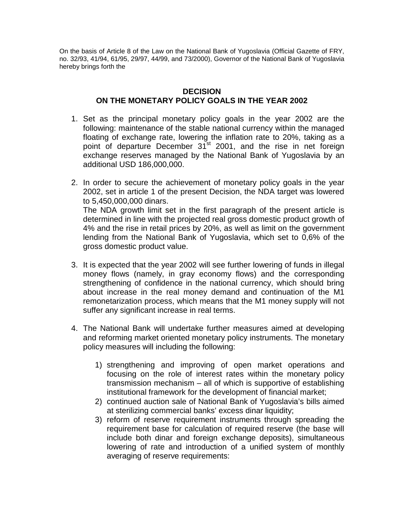On the basis of Article 8 of the Law on the National Bank of Yugoslavia (Official Gazette of FRY, no. 32/93, 41/94, 61/95, 29/97, 44/99, and 73/2000), Governor of the National Bank of Yugoslavia hereby brings forth the

## **DECISION ON THE MONETARY POLICY GOALS IN THE YEAR 2002**

- 1. Set as the principal monetary policy goals in the year 2002 are the following: maintenance of the stable national currency within the managed floating of exchange rate, lowering the inflation rate to 20%, taking as a point of departure December 31<sup>st</sup> 2001, and the rise in net foreign exchange reserves managed by the National Bank of Yugoslavia by an additional USD 186,000,000.
- 2. In order to secure the achievement of monetary policy goals in the year 2002, set in article 1 of the present Decision, the NDA target was lowered to 5,450,000,000 dinars. The NDA growth limit set in the first paragraph of the present article is determined in line with the projected real gross domestic product growth of 4% and the rise in retail prices by 20%, as well as limit on the government lending from the National Bank of Yugoslavia, which set to 0,6% of the gross domestic product value.
- 3. It is expected that the year 2002 will see further lowering of funds in illegal money flows (namely, in gray economy flows) and the corresponding strengthening of confidence in the national currency, which should bring about increase in the real money demand and continuation of the M1 remonetarization process, which means that the M1 money supply will not suffer any significant increase in real terms.
- 4. The National Bank will undertake further measures aimed at developing and reforming market oriented monetary policy instruments. The monetary policy measures will including the following:
	- 1) strengthening and improving of open market operations and focusing on the role of interest rates within the monetary policy transmission mechanism – all of which is supportive of establishing institutional framework for the development of financial market;
	- 2) continued auction sale of National Bank of Yugoslavia's bills aimed at sterilizing commercial banks' excess dinar liquidity;
	- 3) reform of reserve requirement instruments through spreading the requirement base for calculation of required reserve (the base will include both dinar and foreign exchange deposits), simultaneous lowering of rate and introduction of a unified system of monthly averaging of reserve requirements: